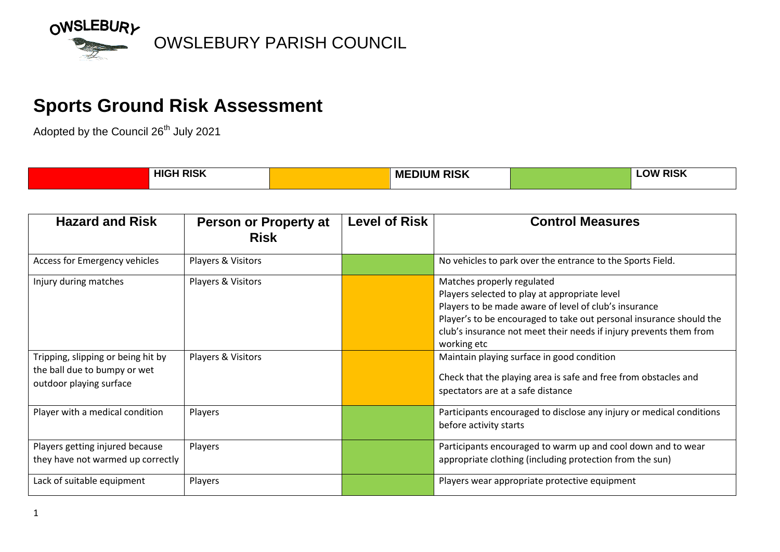

## **Sports Ground Risk Assessment**

Adopted by the Council 26<sup>th</sup> July 2021

| <b>HIGH RISK</b> | <b>DICI</b><br>.   .<br>MF<br>. IM<br>Ш | <b>DICI/</b><br>~<br>.<br><b>RIOM</b> |  |
|------------------|-----------------------------------------|---------------------------------------|--|
|                  |                                         |                                       |  |

| <b>Hazard and Risk</b>                                                                        | <b>Person or Property at</b><br><b>Risk</b> | <b>Level of Risk</b> | <b>Control Measures</b>                                                                                                                                                                                                                                                                          |
|-----------------------------------------------------------------------------------------------|---------------------------------------------|----------------------|--------------------------------------------------------------------------------------------------------------------------------------------------------------------------------------------------------------------------------------------------------------------------------------------------|
| Access for Emergency vehicles                                                                 | Players & Visitors                          |                      | No vehicles to park over the entrance to the Sports Field.                                                                                                                                                                                                                                       |
| Injury during matches                                                                         | Players & Visitors                          |                      | Matches properly regulated<br>Players selected to play at appropriate level<br>Players to be made aware of level of club's insurance<br>Player's to be encouraged to take out personal insurance should the<br>club's insurance not meet their needs if injury prevents them from<br>working etc |
| Tripping, slipping or being hit by<br>the ball due to bumpy or wet<br>outdoor playing surface | Players & Visitors                          |                      | Maintain playing surface in good condition<br>Check that the playing area is safe and free from obstacles and<br>spectators are at a safe distance                                                                                                                                               |
| Player with a medical condition                                                               | Players                                     |                      | Participants encouraged to disclose any injury or medical conditions<br>before activity starts                                                                                                                                                                                                   |
| Players getting injured because<br>they have not warmed up correctly                          | Players                                     |                      | Participants encouraged to warm up and cool down and to wear<br>appropriate clothing (including protection from the sun)                                                                                                                                                                         |
| Lack of suitable equipment                                                                    | Players                                     |                      | Players wear appropriate protective equipment                                                                                                                                                                                                                                                    |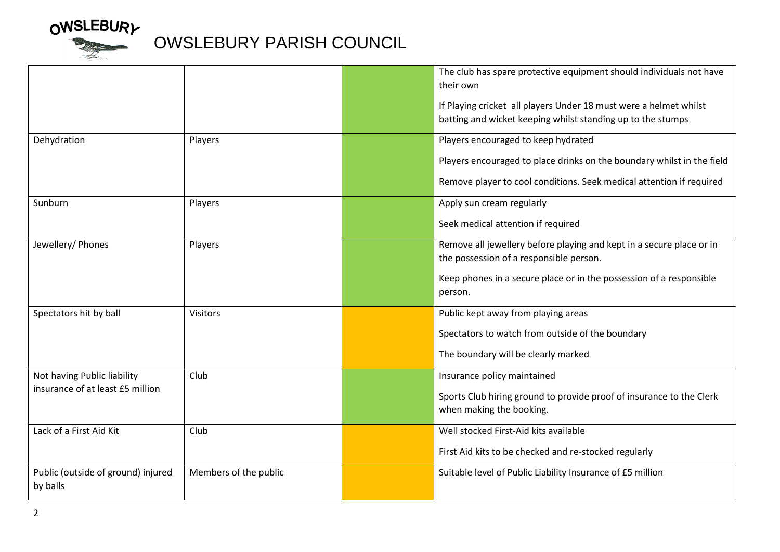

## OWSLEBURY<br>
OWSLEBURY PARISH COUNCIL

|                                                |                       | The club has spare protective equipment should individuals not have<br>their own                                                 |
|------------------------------------------------|-----------------------|----------------------------------------------------------------------------------------------------------------------------------|
|                                                |                       | If Playing cricket all players Under 18 must were a helmet whilst<br>batting and wicket keeping whilst standing up to the stumps |
| Dehydration                                    | Players               | Players encouraged to keep hydrated                                                                                              |
|                                                |                       | Players encouraged to place drinks on the boundary whilst in the field                                                           |
|                                                |                       | Remove player to cool conditions. Seek medical attention if required                                                             |
| Sunburn                                        | Players               | Apply sun cream regularly                                                                                                        |
|                                                |                       | Seek medical attention if required                                                                                               |
| Jewellery/ Phones                              | Players               | Remove all jewellery before playing and kept in a secure place or in<br>the possession of a responsible person.                  |
|                                                |                       | Keep phones in a secure place or in the possession of a responsible<br>person.                                                   |
| Spectators hit by ball                         | <b>Visitors</b>       | Public kept away from playing areas                                                                                              |
|                                                |                       | Spectators to watch from outside of the boundary                                                                                 |
|                                                |                       | The boundary will be clearly marked                                                                                              |
| Not having Public liability                    | Club                  | Insurance policy maintained                                                                                                      |
| insurance of at least £5 million               |                       | Sports Club hiring ground to provide proof of insurance to the Clerk<br>when making the booking.                                 |
| Lack of a First Aid Kit                        | Club                  | Well stocked First-Aid kits available                                                                                            |
|                                                |                       | First Aid kits to be checked and re-stocked regularly                                                                            |
| Public (outside of ground) injured<br>by balls | Members of the public | Suitable level of Public Liability Insurance of £5 million                                                                       |